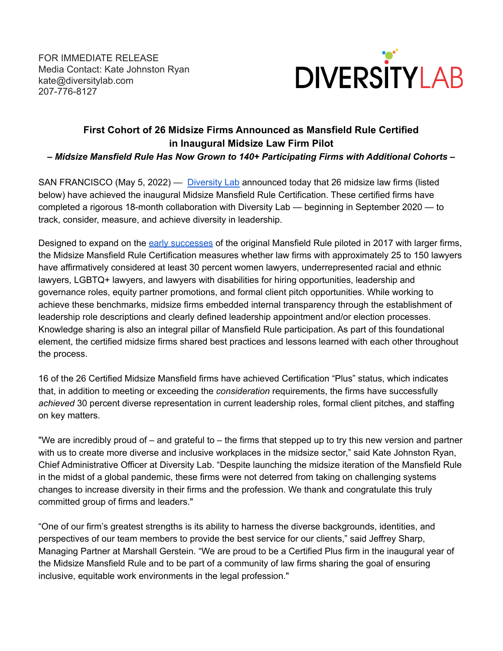FOR IMMEDIATE RELEASE Media Contact: Kate Johnston Ryan kate@diversitylab.com 207-776-8127



## **First Cohort of 26 Midsize Firms Announced as Mansfield Rule Certified in Inaugural Midsize Law Firm Pilot**

*– Midsize Mansfield Rule Has Now Grown to 140+ Participating Firms with Additional Cohorts –*

SAN FRANCISCO (May 5, 2022) — [Diversity](https://www.diversitylab.com/) Lab announced today that 26 midsize law firms (listed below) have achieved the inaugural Midsize Mansfield Rule Certification. These certified firms have completed a rigorous 18-month collaboration with Diversity Lab — beginning in September 2020 — to track, consider, measure, and achieve diversity in leadership.

Designed to expand on the early [successes](https://www.diversitylab.com/pilot-projects/mansfield-rule-early-adopter-firm-results/) of the original Mansfield Rule piloted in 2017 with larger firms, the Midsize Mansfield Rule Certification measures whether law firms with approximately 25 to 150 lawyers have affirmatively considered at least 30 percent women lawyers, underrepresented racial and ethnic lawyers, LGBTQ+ lawyers, and lawyers with disabilities for hiring opportunities, leadership and governance roles, equity partner promotions, and formal client pitch opportunities. While working to achieve these benchmarks, midsize firms embedded internal transparency through the establishment of leadership role descriptions and clearly defined leadership appointment and/or election processes. Knowledge sharing is also an integral pillar of Mansfield Rule participation. As part of this foundational element, the certified midsize firms shared best practices and lessons learned with each other throughout the process.

16 of the 26 Certified Midsize Mansfield firms have achieved Certification "Plus" status, which indicates that, in addition to meeting or exceeding the *consideration* requirements, the firms have successfully *achieved* 30 percent diverse representation in current leadership roles, formal client pitches, and staffing on key matters.

"We are incredibly proud of – and grateful to – the firms that stepped up to try this new version and partner with us to create more diverse and inclusive workplaces in the midsize sector," said Kate Johnston Ryan, Chief Administrative Officer at Diversity Lab. "Despite launching the midsize iteration of the Mansfield Rule in the midst of a global pandemic, these firms were not deterred from taking on challenging systems changes to increase diversity in their firms and the profession. We thank and congratulate this truly committed group of firms and leaders."

"One of our firm's greatest strengths is its ability to harness the diverse backgrounds, identities, and perspectives of our team members to provide the best service for our clients," said Jeffrey Sharp, Managing Partner at Marshall Gerstein. "We are proud to be a Certified Plus firm in the inaugural year of the Midsize Mansfield Rule and to be part of a community of law firms sharing the goal of ensuring inclusive, equitable work environments in the legal profession."